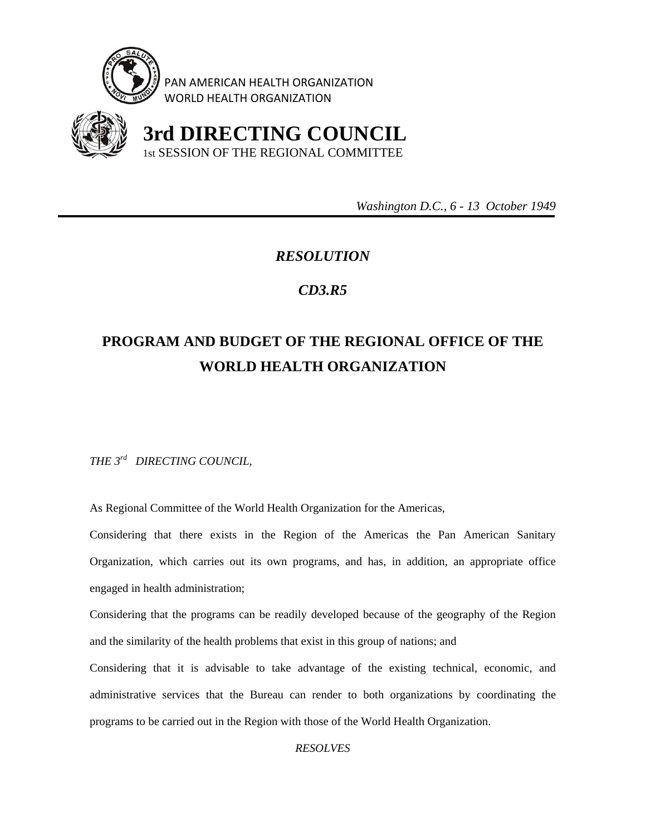

PAN AMERICAN HEALTH ORGANIZATION WORLD HEALTH ORGANIZATION



 **3rd DIRECTING COUNCIL**  1st SESSION OF THE REGIONAL COMMITTEE

 *Washington D.C., 6 - 13 October 1949* 

## *RESOLUTION*

## *CD3.R5*

## **PROGRAM AND BUDGET OF THE REGIONAL OFFICE OF THE WORLD HEALTH ORGANIZATION**

*THE 3rd DIRECTING COUNCIL,* 

As Regional Committee of the World Health Organization for the Americas,

Considering that there exists in the Region of the Americas the Pan American Sanitary Organization, which carries out its own programs, and has, in addition, an appropriate office engaged in health administration;

Considering that the programs can be readily developed because of the geography of the Region and the similarity of the health problems that exist in this group of nations; and

Considering that it is advisable to take advantage of the existing technical, economic, and administrative services that the Bureau can render to both organizations by coordinating the programs to be carried out in the Region with those of the World Health Organization.

*RESOLVES*